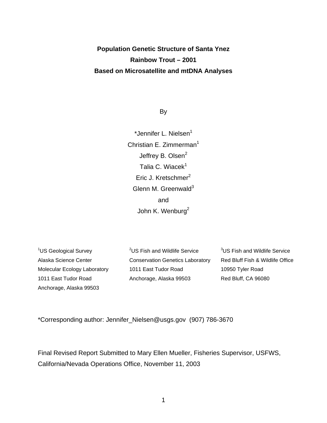# **Population Genetic Structure of Santa Ynez Rainbow Trout – 2001 Based on Microsatellite and mtDNA Analyses**

By

\*Jennifer L. Nielsen $<sup>1</sup>$ </sup> Christian E. Zimmerman<sup>1</sup> Jeffrey B. Olsen<sup>2</sup> Talia C. Wiacek $^1$ Eric J. Kretschmer<sup>2</sup> Glenn M. Greenwald $3$ and John K. Wenburg<sup>2</sup>

<sup>1</sup>US Geological Survey Alaska Science Center Molecular Ecology Laboratory 1011 East Tudor Road Anchorage, Alaska 99503

<sup>2</sup>US Fish and Wildlife Service Conservation Genetics Laboratory 1011 East Tudor Road Anchorage, Alaska 99503

<sup>3</sup>US Fish and Wildlife Service Red Bluff Fish & Wildlife Office 10950 Tyler Road Red Bluff, CA 96080

\*Corresponding author: Jennifer\_Nielsen@usgs.gov (907) 786-3670

Final Revised Report Submitted to Mary Ellen Mueller, Fisheries Supervisor, USFWS, California/Nevada Operations Office, November 11, 2003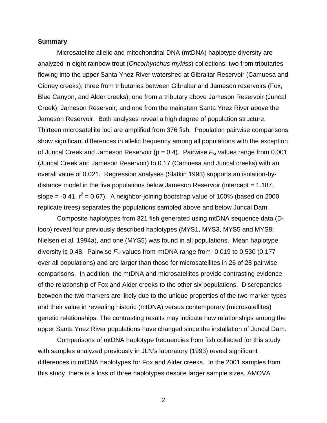# **Summary**

Microsatellite allelic and mitochondrial DNA (mtDNA) haplotype diversity are analyzed in eight rainbow trout (Oncorhynchus mykiss) collections: two from tributaries flowing into the upper Santa Ynez River watershed at Gibraltar Reservoir (Camuesa and Gidney creeks); three from tributaries between Gibraltar and Jameson reservoirs (Fox, Blue Canyon, and Alder creeks); one from a tributary above Jameson Reservoir (Juncal Creek); Jameson Reservoir; and one from the mainstem Santa Ynez River above the Jameson Reservoir. Both analyses reveal a high degree of population structure. Thirteen microsatellite loci are amplified from 376 fish. Population pairwise comparisons show significant differences in allelic frequency among all populations with the exception of Juncal Creek and Jameson Reservoir ( $p = 0.4$ ). Pairwise  $F_{st}$  values range from 0.001 (Juncal Creek and Jameson Reservoir) to 0.17 (Camuesa and Juncal creeks) with an overall value of 0.021. Regression analyses (Slatkin 1993) supports an isolation-bydistance model in the five populations below Jameson Reservoir (intercept = 1.187, slope =  $-0.41$ ,  $r^2 = 0.67$ ). A neighbor-joining bootstrap value of 100% (based on 2000 replicate trees) separates the populations sampled above and below Juncal Dam.

Composite haplotypes from 321 fish generated using mtDNA sequence data (Dloop) reveal four previously described haplotypes (MYS1, MYS3, MYS5 and MYS8; Nielsen et al. 1994a), and one (MYS5) was found in all populations. Mean haplotype diversity is 0.48. Pairwise  $F_{st}$  values from mtDNA range from -0.019 to 0.530 (0.177 over all populations) and are larger than those for microsatellites in 26 of 28 pairwise comparisons. In addition, the mtDNA and microsatellites provide contrasting evidence of the relationship of Fox and Alder creeks to the other six populations. Discrepancies between the two markers are likely due to the unique properties of the two marker types and their value in revealing historic (mtDNA) versus contemporary (microsatellites) genetic relationships. The contrasting results may indicate how relationships among the upper Santa Ynez River populations have changed since the installation of Juncal Dam.

Comparisons of mtDNA haplotype frequencies from fish collected for this study with samples analyzed previously in JLN's laboratory (1993) reveal significant differences in mtDNA haplotypes for Fox and Alder creeks. In the 2001 samples from this study, there is a loss of three haplotypes despite larger sample sizes. AMOVA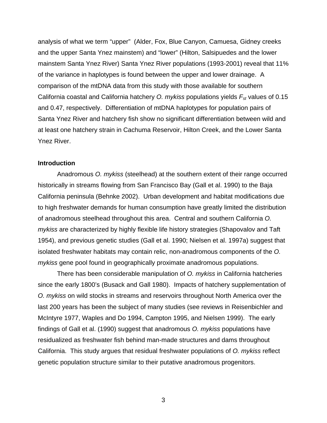analysis of what we term "upper" (Alder, Fox, Blue Canyon, Camuesa, Gidney creeks and the upper Santa Ynez mainstem) and "lower" (Hilton, Salsipuedes and the lower mainstem Santa Ynez River) Santa Ynez River populations (1993-2001) reveal that 11% of the variance in haplotypes is found between the upper and lower drainage. A comparison of the mtDNA data from this study with those available for southern California coastal and California hatchery O. mykiss populations yields  $F_{st}$  values of 0.15 and 0.47, respectively. Differentiation of mtDNA haplotypes for population pairs of Santa Ynez River and hatchery fish show no significant differentiation between wild and at least one hatchery strain in Cachuma Reservoir, Hilton Creek, and the Lower Santa Ynez River.

#### **Introduction**

Anadromous O. mykiss (steelhead) at the southern extent of their range occurred historically in streams flowing from San Francisco Bay (Gall et al. 1990) to the Baja California peninsula (Behnke 2002). Urban development and habitat modifications due to high freshwater demands for human consumption have greatly limited the distribution of anadromous steelhead throughout this area. Central and southern California O. mykiss are characterized by highly flexible life history strategies (Shapovalov and Taft 1954), and previous genetic studies (Gall et al. 1990; Nielsen et al. 1997a) suggest that isolated freshwater habitats may contain relic, non-anadromous components of the O. mykiss gene pool found in geographically proximate anadromous populations.

There has been considerable manipulation of O. mykiss in California hatcheries since the early 1800's (Busack and Gall 1980). Impacts of hatchery supplementation of O. mykiss on wild stocks in streams and reservoirs throughout North America over the last 200 years has been the subject of many studies (see reviews in Reisenbichler and McIntyre 1977, Waples and Do 1994, Campton 1995, and Nielsen 1999). The early findings of Gall et al. (1990) suggest that anadromous O. mykiss populations have residualized as freshwater fish behind man-made structures and dams throughout California. This study argues that residual freshwater populations of O. mykiss reflect genetic population structure similar to their putative anadromous progenitors.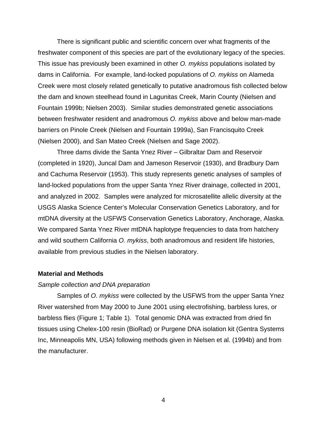There is significant public and scientific concern over what fragments of the freshwater component of this species are part of the evolutionary legacy of the species. This issue has previously been examined in other O. mykiss populations isolated by dams in California. For example, land-locked populations of O. mykiss on Alameda Creek were most closely related genetically to putative anadromous fish collected below the dam and known steelhead found in Lagunitas Creek, Marin County (Nielsen and Fountain 1999b; Nielsen 2003). Similar studies demonstrated genetic associations between freshwater resident and anadromous O. mykiss above and below man-made barriers on Pinole Creek (Nielsen and Fountain 1999a), San Francisquito Creek (Nielsen 2000), and San Mateo Creek (Nielsen and Sage 2002).

Three dams divide the Santa Ynez River – Gilbraltar Dam and Reservoir (completed in 1920), Juncal Dam and Jameson Reservoir (1930), and Bradbury Dam and Cachuma Reservoir (1953). This study represents genetic analyses of samples of land-locked populations from the upper Santa Ynez River drainage, collected in 2001, and analyzed in 2002. Samples were analyzed for microsatellite allelic diversity at the USGS Alaska Science Center's Molecular Conservation Genetics Laboratory, and for mtDNA diversity at the USFWS Conservation Genetics Laboratory, Anchorage, Alaska. We compared Santa Ynez River mtDNA haplotype frequencies to data from hatchery and wild southern California O. mykiss, both anadromous and resident life histories, available from previous studies in the Nielsen laboratory.

#### **Material and Methods**

### Sample collection and DNA preparation

Samples of O. mykiss were collected by the USFWS from the upper Santa Ynez River watershed from May 2000 to June 2001 using electrofishing, barbless lures, or barbless flies (Figure 1; Table 1). Total genomic DNA was extracted from dried fin tissues using Chelex-100 resin (BioRad) or Purgene DNA isolation kit (Gentra Systems Inc, Minneapolis MN, USA) following methods given in Nielsen et al. (1994b) and from the manufacturer.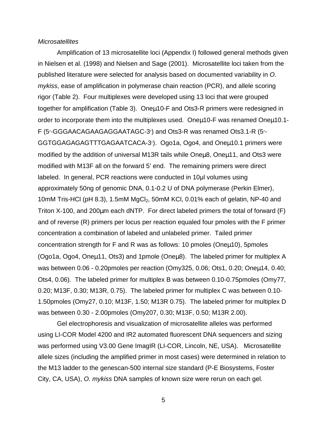#### **Microsatellites**

Amplification of 13 microsatellite loci (Appendix I) followed general methods given in Nielsen et al. (1998) and Nielsen and Sage (2001). Microsatellite loci taken from the published literature were selected for analysis based on documented variability in O. mykiss, ease of amplification in polymerase chain reaction (PCR), and allele scoring rigor (Table 2). Four multiplexes were developed using 13 loci that were grouped together for amplification (Table 3). Oneµ10-F and Ots3-R primers were redesigned in order to incorporate them into the multiplexes used. Oneut 10-F was renamed Oneu10.1-F (5-GGGAACAGAAGAGGAATAGC-3) and Ots3-R was renamed Ots3.1-R (5- GGTGGAGAGAGTTTGAGAATCACA-3). Ogo1a, Ogo4, and Oneµ10.1 primers were modified by the addition of universal M13R tails while Oneµ8, Oneµ11, and Ots3 were modified with M13F all on the forward 5' end. The remaining primers were direct labeled. In general, PCR reactions were conducted in 10µl volumes using approximately 50ng of genomic DNA, 0.1-0.2 U of DNA polymerase (Perkin Elmer), 10mM Tris-HCl (pH 8.3), 1.5mM MgCl<sub>2</sub>, 50mM KCl, 0.01% each of gelatin, NP-40 and Triton X-100, and 200µm each dNTP. For direct labeled primers the total of forward (F) and of reverse (R) primers per locus per reaction equaled four pmoles with the F primer concentration a combination of labeled and unlabeled primer. Tailed primer concentration strength for F and R was as follows: 10 pmoles (Oneµ10), 5pmoles (Ogo1a, Ogo4, Oneµ11, Ots3) and 1pmole (Oneµ8). The labeled primer for multiplex A was between 0.06 - 0.20pmoles per reaction (Omy325, 0.06; Ots1, 0.20; Oneµ14, 0.40; Ots4, 0.06). The labeled primer for multiplex B was between 0.10-0.75pmoles (Omy77, 0.20; M13F, 0.30; M13R, 0.75). The labeled primer for multiplex C was between 0.10- 1.50pmoles (Omy27, 0.10; M13F, 1.50; M13R 0.75). The labeled primer for multiplex D was between 0.30 - 2.00pmoles (Omy207, 0.30; M13F, 0.50; M13R 2.00).

Gel electrophoresis and visualization of microsatellite alleles was performed using LI-COR Model 4200 and IR2 automated fluorescent DNA sequencers and sizing was performed using V3.00 Gene ImagIR (LI-COR, Lincoln, NE, USA). Microsatellite allele sizes (including the amplified primer in most cases) were determined in relation to the M13 ladder to the genescan-500 internal size standard (P-E Biosystems, Foster City, CA, USA), O. mykiss DNA samples of known size were rerun on each gel.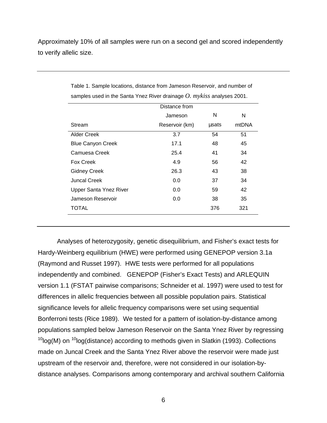Approximately 10% of all samples were run on a second gel and scored independently to verify allelic size.

|                               | Distance from  |       |       |
|-------------------------------|----------------|-------|-------|
|                               | Jameson        | N     | N     |
| Stream                        | Reservoir (km) | usats | mtDNA |
| <b>Alder Creek</b>            | 3.7            | 54    | 51    |
| <b>Blue Canyon Creek</b>      | 17.1           | 48    | 45    |
| Camuesa Creek                 | 25.4           | 41    | 34    |
| Fox Creek                     | 4.9            | 56    | 42    |
| <b>Gidney Creek</b>           | 26.3           | 43    | 38    |
| Juncal Creek                  | 0.0            | 37    | 34    |
| <b>Upper Santa Ynez River</b> | 0.0            | 59    | 42    |
| Jameson Reservoir             | 0.0            | 38    | 35    |
| TOTAL                         |                | 376   | 321   |

Table 1. Sample locations, distance from Jameson Reservoir, and number of samples used in the Santa Ynez River drainage *O. mykiss* analyses 2001.

Analyses of heterozygosity, genetic disequilibrium, and Fisher's exact tests for Hardy-Weinberg equilibrium (HWE) were performed using GENEPOP version 3.1a (Raymond and Russet 1997). HWE tests were performed for all populations independently and combined. GENEPOP (Fisher's Exact Tests) and ARLEQUIN version 1.1 (FSTAT pairwise comparisons; Schneider et al. 1997) were used to test for differences in allelic frequencies between all possible population pairs. Statistical significance levels for allelic frequency comparisons were set using sequential Bonferroni tests (Rice 1989). We tested for a pattern of isolation-by-distance among populations sampled below Jameson Reservoir on the Santa Ynez River by regressing  $10$ log(M) on  $10$ log(distance) according to methods given in Slatkin (1993). Collections made on Juncal Creek and the Santa Ynez River above the reservoir were made just upstream of the reservoir and, therefore, were not considered in our isolation-bydistance analyses. Comparisons among contemporary and archival southern California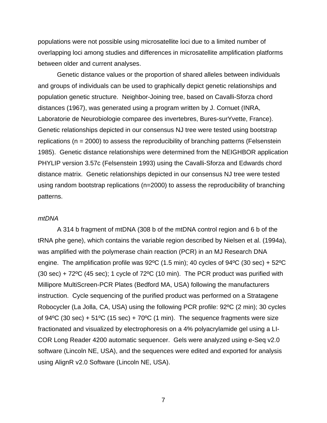populations were not possible using microsatellite loci due to a limited number of overlapping loci among studies and differences in microsatellite amplification platforms between older and current analyses.

Genetic distance values or the proportion of shared alleles between individuals and groups of individuals can be used to graphically depict genetic relationships and population genetic structure. Neighbor-Joining tree, based on Cavalli-Sforza chord distances (1967), was generated using a program written by J. Cornuet (INRA, Laboratorie de Neurobiologie comparee des invertebres, Bures-surYvette, France). Genetic relationships depicted in our consensus NJ tree were tested using bootstrap replications (n = 2000) to assess the reproducibility of branching patterns (Felsenstein 1985). Genetic distance relationships were determined from the NEIGHBOR application PHYLIP version 3.57c (Felsenstein 1993) using the Cavalli-Sforza and Edwards chord distance matrix. Genetic relationships depicted in our consensus NJ tree were tested using random bootstrap replications (n=2000) to assess the reproducibility of branching patterns.

# mtDNA

 A 314 b fragment of mtDNA (308 b of the mtDNA control region and 6 b of the tRNA phe gene), which contains the variable region described by Nielsen et al. (1994a), was amplified with the polymerase chain reaction (PCR) in an MJ Research DNA engine. The amplification profile was  $92^{\circ}$ C (1.5 min); 40 cycles of  $94^{\circ}$ C (30 sec) + 52 $^{\circ}$ C  $(30 \text{ sec}) + 72^{\circ}\text{C}$  (45 sec); 1 cycle of 72 $^{\circ}\text{C}$  (10 min). The PCR product was purified with Millipore MultiScreen-PCR Plates (Bedford MA, USA) following the manufacturers instruction. Cycle sequencing of the purified product was performed on a Stratagene Robocycler (La Jolla, CA, USA) using the following PCR profile: 92ºC (2 min); 30 cycles of 94 $^{\circ}$ C (30 sec) + 51 $^{\circ}$ C (15 sec) + 70 $^{\circ}$ C (1 min). The sequence fragments were size fractionated and visualized by electrophoresis on a 4% polyacrylamide gel using a LI-COR Long Reader 4200 automatic sequencer. Gels were analyzed using e-Seq v2.0 software (Lincoln NE, USA), and the sequences were edited and exported for analysis using AlignR v2.0 Software (Lincoln NE, USA).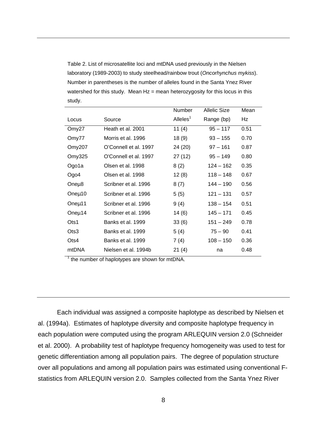Table 2. List of microsatellite loci and mtDNA used previously in the Nielsen laboratory (1989-2003) to study steelhead/rainbow trout (Oncorhynchus mykiss). Number in parentheses is the number of alleles found in the Santa Ynez River watershed for this study. Mean  $Hz =$  mean heterozygosity for this locus in this study.

|        |                       | Number      | <b>Allelic Size</b> | Mean |
|--------|-----------------------|-------------|---------------------|------|
| Locus  | Source                | Alleles $1$ | Range (bp)          | Hz   |
| Omy27  | Heath et al. 2001     | 11 $(4)$    | $95 - 117$          | 0.51 |
| Omy77  | Morris et al. 1996    | 18(9)       | $93 - 155$          | 0.70 |
| Omy207 | O'Connell et al. 1997 | 24 (20)     | $97 - 161$          | 0.87 |
| Omy325 | O'Connell et al. 1997 | 27 (12)     | $95 - 149$          | 0.80 |
| Ogo1a  | Olsen et al. 1998     | 8(2)        | $124 - 162$         | 0.35 |
| Ogo4   | Olsen et al. 1998     | 12(8)       | $118 - 148$         | 0.67 |
| Oneµ8  | Scribner et al. 1996  | 8(7)        | $144 - 190$         | 0.56 |
| Oneµ10 | Scribner et al. 1996  | 5(5)        | $121 - 131$         | 0.57 |
| Oneµ11 | Scribner et al. 1996  | 9(4)        | $138 - 154$         | 0.51 |
| Oneµ14 | Scribner et al. 1996  | 14(6)       | $145 - 171$         | 0.45 |
| Ots1   | Banks et al. 1999     | 33(6)       | $151 - 249$         | 0.78 |
| Ots3   | Banks et al. 1999     | 5(4)        | $75 - 90$           | 0.41 |
| Ots4   | Banks et al. 1999     | 7(4)        | $108 - 150$         | 0.36 |
| mtDNA  | Nielsen et al. 1994b  | 21(4)       | na                  | 0.48 |

 $<sup>1</sup>$  the number of haplotypes are shown for mtDNA.</sup>

Each individual was assigned a composite haplotype as described by Nielsen et al. (1994a). Estimates of haplotype diversity and composite haplotype frequency in each population were computed using the program ARLEQUIN version 2.0 (Schneider et al. 2000). A probability test of haplotype frequency homogeneity was used to test for genetic differentiation among all population pairs. The degree of population structure over all populations and among all population pairs was estimated using conventional Fstatistics from ARLEQUIN version 2.0. Samples collected from the Santa Ynez River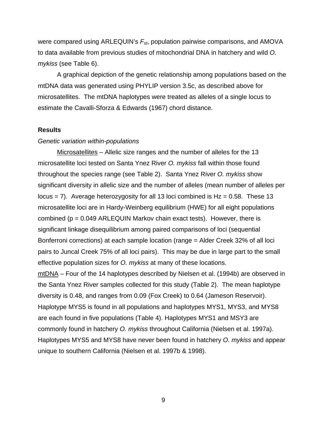were compared using ARLEQUIN's  $F_{st}$ , population pairwise comparisons, and AMOVA to data available from previous studies of mitochondrial DNA in hatchery and wild O. mykiss (see Table 6).

A graphical depiction of the genetic relationship among populations based on the mtDNA data was generated using PHYLIP version 3.5c, as described above for microsatellites. The mtDNA haplotypes were treated as alleles of a single locus to estimate the Cavalli-Sforza & Edwards (1967) chord distance.

# **Results**

# Genetic variation within-populations

Microsatellites – Allelic size ranges and the number of alleles for the 13 microsatellite loci tested on Santa Ynez River O. mykiss fall within those found throughout the species range (see Table 2). Santa Ynez River O. mykiss show significant diversity in allelic size and the number of alleles (mean number of alleles per locus  $= 7$ ). Average heterozygosity for all 13 loci combined is Hz  $= 0.58$ . These 13 microsatellite loci are in Hardy-Weinberg equilibrium (HWE) for all eight populations combined ( $p = 0.049$  ARLEQUIN Markov chain exact tests). However, there is significant linkage disequilibrium among paired comparisons of loci (sequential Bonferroni corrections) at each sample location (range = Alder Creek 32% of all loci pairs to Juncal Creek 75% of all loci pairs). This may be due in large part to the small effective population sizes for *O. mykiss* at many of these locations. mtDNA – Four of the 14 haplotypes described by Nielsen et al. (1994b) are observed in the Santa Ynez River samples collected for this study (Table 2). The mean haplotype diversity is 0.48, and ranges from 0.09 (Fox Creek) to 0.64 (Jameson Reservoir). Haplotype MYS5 is found in all populations and haplotypes MYS1, MYS3, and MYS8 are each found in five populations (Table 4). Haplotypes MYS1 and MSY3 are commonly found in hatchery O. mykiss throughout California (Nielsen et al. 1997a).

Haplotypes MYS5 and MYS8 have never been found in hatchery O. mykiss and appear unique to southern California (Nielsen et al. 1997b & 1998).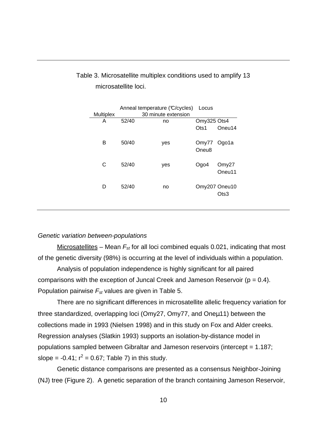|           |       | Anneal temperature (C/cycles) | Locus                      |                       |
|-----------|-------|-------------------------------|----------------------------|-----------------------|
| Multiplex |       | 30 minute extension           |                            |                       |
| A         | 52/40 | no                            | Omy325 Ots4                |                       |
|           |       |                               | $O$ ts1                    | Oneu14                |
| В         | 50/40 | yes                           | Omy77<br>Oneu <sub>8</sub> | Ogo1a                 |
| C         | 52/40 | yes                           | Ogo4                       | Omy27<br>Oneu11       |
| D         | 52/40 | no                            |                            | Omy207 Oneu10<br>Ots3 |

# Table 3. Microsatellite multiplex conditions used to amplify 13 microsatellite loci.

# Genetic variation between-populations

Microsatellites – Mean  $F_{st}$  for all loci combined equals 0.021, indicating that most of the genetic diversity (98%) is occurring at the level of individuals within a population.

Analysis of population independence is highly significant for all paired comparisons with the exception of Juncal Creek and Jameson Reservoir ( $p = 0.4$ ). Population pairwise  $F_{st}$  values are given in Table 5.

There are no significant differences in microsatellite allelic frequency variation for three standardized, overlapping loci (Omy27, Omy77, and Oneµ11) between the collections made in 1993 (Nielsen 1998) and in this study on Fox and Alder creeks. Regression analyses (Slatkin 1993) supports an isolation-by-distance model in populations sampled between Gibraltar and Jameson reservoirs (intercept = 1.187; slope =  $-0.41$ ;  $r^2 = 0.67$ ; Table 7) in this study.

Genetic distance comparisons are presented as a consensus Neighbor-Joining (NJ) tree (Figure 2). A genetic separation of the branch containing Jameson Reservoir,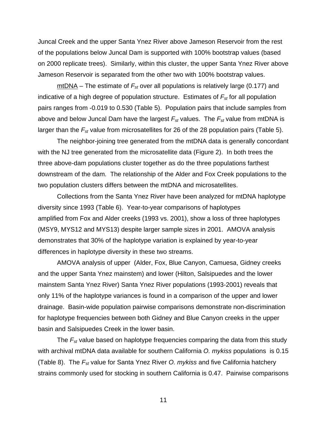Juncal Creek and the upper Santa Ynez River above Jameson Reservoir from the rest of the populations below Juncal Dam is supported with 100% bootstrap values (based on 2000 replicate trees). Similarly, within this cluster, the upper Santa Ynez River above Jameson Reservoir is separated from the other two with 100% bootstrap values.

 $mtDNA - The estimate of  $F_{st}$  over all populations is relatively large (0.177) and$ indicative of a high degree of population structure. Estimates of  $F_{st}$  for all population pairs ranges from -0.019 to 0.530 (Table 5). Population pairs that include samples from above and below Juncal Dam have the largest  $F_{st}$  values. The  $F_{st}$  value from mtDNA is larger than the  $F_{st}$  value from microsatellites for 26 of the 28 population pairs (Table 5).

The neighbor-joining tree generated from the mtDNA data is generally concordant with the NJ tree generated from the microsatellite data (Figure 2). In both trees the three above-dam populations cluster together as do the three populations farthest downstream of the dam. The relationship of the Alder and Fox Creek populations to the two population clusters differs between the mtDNA and microsatellites.

Collections from the Santa Ynez River have been analyzed for mtDNA haplotype diversity since 1993 (Table 6). Year-to-year comparisons of haplotypes amplified from Fox and Alder creeks (1993 vs. 2001), show a loss of three haplotypes (MSY9, MYS12 and MYS13) despite larger sample sizes in 2001. AMOVA analysis demonstrates that 30% of the haplotype variation is explained by year-to-year differences in haplotype diversity in these two streams.

AMOVA analysis of upper (Alder, Fox, Blue Canyon, Camuesa, Gidney creeks and the upper Santa Ynez mainstem) and lower (Hilton, Salsipuedes and the lower mainstem Santa Ynez River) Santa Ynez River populations (1993-2001) reveals that only 11% of the haplotype variances is found in a comparison of the upper and lower drainage. Basin-wide population pairwise comparisons demonstrate non-discrimination for haplotype frequencies between both Gidney and Blue Canyon creeks in the upper basin and Salsipuedes Creek in the lower basin.

The  $F_{st}$  value based on haplotype frequencies comparing the data from this study with archival mtDNA data available for southern California O. mykiss populations is 0.15 (Table 8). The  $F_{st}$  value for Santa Ynez River O. mykiss and five California hatchery strains commonly used for stocking in southern California is 0.47. Pairwise comparisons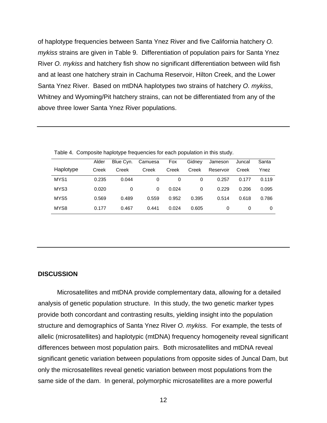of haplotype frequencies between Santa Ynez River and five California hatchery O. mykiss strains are given in Table 9. Differentiation of population pairs for Santa Ynez River O. mykiss and hatchery fish show no significant differentiation between wild fish and at least one hatchery strain in Cachuma Reservoir, Hilton Creek, and the Lower Santa Ynez River. Based on mtDNA haplotypes two strains of hatchery O. mykiss, Whitney and Wyoming/Pit hatchery strains, can not be differentiated from any of the above three lower Santa Ynez River populations.

|                  | Alder | Blue Cvn. | Camuesa | Fox   | Gidney | Jameson   | Juncal | Santa |
|------------------|-------|-----------|---------|-------|--------|-----------|--------|-------|
| Haplotype        | Creek | Creek     | Creek   | Creek | Creek  | Reservoir | Creek  | Ynez  |
| MYS <sub>1</sub> | 0.235 | 0.044     | 0       | 0     | 0      | 0.257     | 0.177  | 0.119 |
| MYS3             | 0.020 | 0         | 0       | 0.024 | 0      | 0.229     | 0.206  | 0.095 |
| MYS5             | 0.569 | 0.489     | 0.559   | 0.952 | 0.395  | 0.514     | 0.618  | 0.786 |
| MYS8             | 0.177 | 0.467     | 0.441   | 0.024 | 0.605  | 0         | 0      | 0     |

Table 4. Composite haplotype frequencies for each population in this study.

#### **DISCUSSION**

 Microsatellites and mtDNA provide complementary data, allowing for a detailed analysis of genetic population structure. In this study, the two genetic marker types provide both concordant and contrasting results, yielding insight into the population structure and demographics of Santa Ynez River O. mykiss. For example, the tests of allelic (microsatellites) and haplotypic (mtDNA) frequency homogeneity reveal significant differences between most population pairs. Both microsatellites and mtDNA reveal significant genetic variation between populations from opposite sides of Juncal Dam, but only the microsatellites reveal genetic variation between most populations from the same side of the dam. In general, polymorphic microsatellites are a more powerful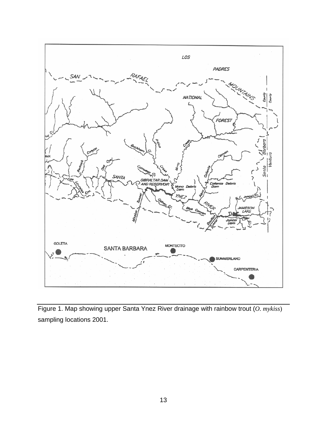

Figure 1. Map showing upper Santa Ynez River drainage with rainbow trout (*O. mykiss*) sampling locations 2001.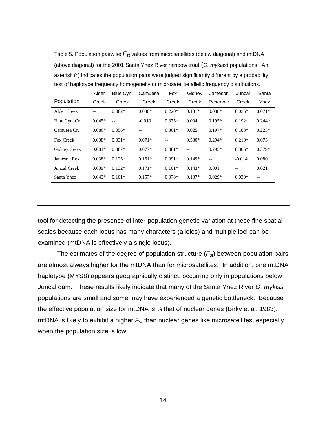| (above diagonal) for the 2001 Santa Ynez River rainbow trout (O. mykiss) populations. An         |       |       |                   |       |        |           |        |       |
|--------------------------------------------------------------------------------------------------|-------|-------|-------------------|-------|--------|-----------|--------|-------|
| asterisk (*) indicates the population pairs were judged significantly different by a probability |       |       |                   |       |        |           |        |       |
| test of haplotype frequency homogeneity or microsatellite allelic frequency distributions.       |       |       |                   |       |        |           |        |       |
|                                                                                                  | Alder |       | Blue Cyn. Camuesa | Fox   | Gidnev | Jameson   | Juncal | Santa |
| Population                                                                                       | Creek | Creek | Creek             | Creek | Creek  | Reservoir | Creek  | Ynez  |

Table 5. Population pairwise  $F_{st}$  values from microsatellites (below diagonal) and mtDNA

| Population    | Creek    | Creek    | Creek    | Creek    | Creek                                               | Reservoir | Creek    | Ynez     |
|---------------|----------|----------|----------|----------|-----------------------------------------------------|-----------|----------|----------|
| Alder Creek   |          | $0.082*$ | $0.080*$ | $0.220*$ | $0.181*$                                            | $0.038*$  | $0.035*$ | $0.071*$ |
| Blue Cyn. Cr. | $0.045*$ | $-$      | $-0.019$ | $0.375*$ | 0.004                                               | $0.195*$  | $0.192*$ | $0.244*$ |
| Camuesa Cr.   | $0.086*$ | $0.056*$ | --       | $0.361*$ | 0.025                                               | $0.197*$  | $0.183*$ | $0.223*$ |
| Fox Creek     | $0.038*$ | $0.031*$ | $0.071*$ | $-$      | $0.530*$                                            | $0.294*$  | $0.210*$ | 0.073    |
| Gidney Creek  | $0.081*$ | $0.067*$ | $0.077*$ | $0.081*$ | $\hspace{0.05cm} -\hspace{0.05cm} -\hspace{0.05cm}$ | $0.295*$  | $0.305*$ | $0.379*$ |
| Jameson Res   | $0.038*$ | $0.125*$ | $0.161*$ | $0.091*$ | $0.149*$                                            | $-$       | $-0.014$ | 0.080    |
| Juncal Creek  | $0.039*$ | $0.132*$ | $0.171*$ | $0.101*$ | $0.143*$                                            | 0.001     | --       | 0.021    |
| Santa Ynez    | $0.043*$ | $0.101*$ | $0.157*$ | $0.078*$ | $0.137*$                                            | $0.029*$  | $0.039*$ | $-$      |

tool for detecting the presence of inter-population genetic variation at these fine spatial scales because each locus has many characters (alleles) and multiple loci can be examined (mtDNA is effectively a single locus).

The estimates of the degree of population structure  $(F_{st})$  between population pairs are almost always higher for the mtDNA than for microsatellites. In addition, one mtDNA haplotype (MYS8) appears geographically distinct, occurring only in populations below Juncal dam. These results likely indicate that many of the Santa Ynez River O. mykiss populations are small and some may have experienced a genetic bottleneck. Because the effective population size for mtDNA is ¼ that of nuclear genes (Birky et al. 1983), mtDNA is likely to exhibit a higher  $F_{st}$  than nuclear genes like microsatellites, especially when the population size is low.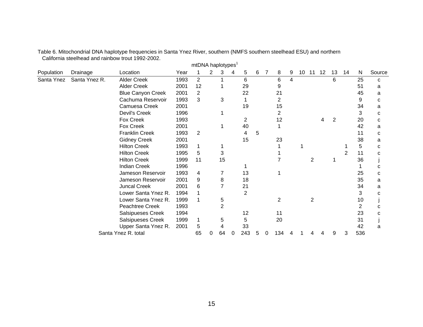|            |               |                          |      | <b>IIIIDINA Hapiotypes</b> |   |                |   |                |   |   |                |   |    |                |    |    |    |              |        |
|------------|---------------|--------------------------|------|----------------------------|---|----------------|---|----------------|---|---|----------------|---|----|----------------|----|----|----|--------------|--------|
| Population | Drainage      | Location                 | Year |                            | 2 | 3              | 4 | 5              | 6 | 7 | 8              | 9 | 10 | 11             | 12 | 13 | 14 | $\mathsf{N}$ | Source |
| Santa Ynez | Santa Ynez R. | <b>Alder Creek</b>       | 1993 | $\overline{2}$             |   |                |   | 6              |   |   | 6              | 4 |    |                |    | 6  |    | 25           | C      |
|            |               | <b>Alder Creek</b>       | 2001 | 12                         |   |                |   | 29             |   |   | 9              |   |    |                |    |    |    | 51           | a      |
|            |               | <b>Blue Canyon Creek</b> | 2001 | 2                          |   |                |   | 22             |   |   | 21             |   |    |                |    |    |    | 45           | a      |
|            |               | Cachuma Reservoir        | 1993 | 3                          |   | 3              |   | 1              |   |   | 2              |   |    |                |    |    |    | 9            | C      |
|            |               | Camuesa Creek            | 2001 |                            |   |                |   | 19             |   |   | 15             |   |    |                |    |    |    | 34           | a      |
|            |               | Devil's Creek            | 1996 |                            |   |                |   |                |   |   | 2              |   |    |                |    |    |    | 3            | C      |
|            |               | Fox Creek                | 1993 |                            |   |                |   | $\overline{2}$ |   |   | 12             |   |    |                |    | 2  |    | 20           | C      |
|            |               | Fox Creek                | 2001 |                            |   |                |   | 40             |   |   |                |   |    |                |    |    |    | 42           | a      |
|            |               | <b>Franklin Creek</b>    | 1993 | 2                          |   |                |   | 4              | 5 |   |                |   |    |                |    |    |    | 11           | C      |
|            |               | <b>Gidney Creek</b>      | 2001 |                            |   |                |   | 15             |   |   | 23             |   |    |                |    |    |    | 38           | a      |
|            |               | <b>Hilton Creek</b>      | 1993 | 1                          |   |                |   |                |   |   |                |   |    |                |    |    |    | 5            | C      |
|            |               | <b>Hilton Creek</b>      | 1995 | 5                          |   | 3              |   |                |   |   |                |   |    |                |    |    | 2  | 11           | C      |
|            |               | <b>Hilton Creek</b>      | 1999 | 11                         |   | 15             |   |                |   |   |                |   |    | $\overline{2}$ |    |    |    | 36           |        |
|            |               | <b>Indian Creek</b>      | 1996 |                            |   |                |   |                |   |   |                |   |    |                |    |    |    |              | C      |
|            |               | Jameson Reservoir        | 1993 | 4                          |   | 7              |   | 13             |   |   |                |   |    |                |    |    |    | 25           | C      |
|            |               | Jameson Reservoir        | 2001 | 9                          |   | 8              |   | 18             |   |   |                |   |    |                |    |    |    | 35           | a      |
|            |               | <b>Juncal Creek</b>      | 2001 | 6                          |   |                |   | 21             |   |   |                |   |    |                |    |    |    | 34           | a      |
|            |               | Lower Santa Ynez R.      | 1994 |                            |   |                |   | $\overline{2}$ |   |   |                |   |    |                |    |    |    | 3            | C      |
|            |               | Lower Santa Ynez R.      | 1999 | 1                          |   | 5              |   |                |   |   | $\overline{2}$ |   |    | $\overline{2}$ |    |    |    | 10           |        |
|            |               | Peachtree Creek          | 1993 |                            |   | $\overline{2}$ |   |                |   |   |                |   |    |                |    |    |    | 2            | C      |
|            |               | Salsipueses Creek        | 1994 |                            |   |                |   | 12             |   |   | 11             |   |    |                |    |    |    | 23           | C      |
|            |               | Salsipueses Creek        | 1999 | 1                          |   | 5              |   | 5              |   |   | 20             |   |    |                |    |    |    | 31           |        |
|            |               | Upper Santa Ynez R.      | 2001 | 5                          |   |                |   | 33             |   |   |                |   |    |                |    |    |    | 42           | a      |
|            |               | Santa Ynez R. total      |      | 65                         |   | 64             | 0 | 243            | 5 |   | 134            |   |    |                |    | 9  | 3  | 536          |        |
|            |               |                          |      |                            |   |                |   |                |   |   |                |   |    |                |    |    |    |              |        |

Table 6. Mitochondrial DNA haplotype frequencies in Santa Ynez River, southern (NMFS southern steelhead ESU) and northern California steelhead and rainbow trout 1992-2002.  $m$ t $D$ N $\Delta$  haplotypes<sup>1</sup>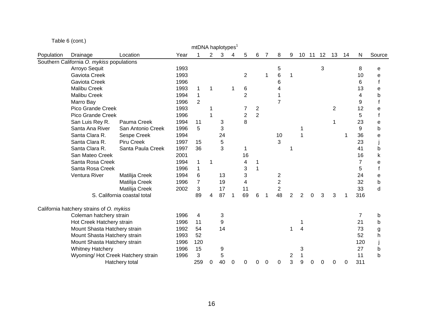Table 6 (cont.)

|            |                                           |                             |      | mtDNA haplotypes' |             |    |   |                |                |                |                |   |   |   |              |                |    |           |        |
|------------|-------------------------------------------|-----------------------------|------|-------------------|-------------|----|---|----------------|----------------|----------------|----------------|---|---|---|--------------|----------------|----|-----------|--------|
| Population | Drainage                                  | Location                    | Year |                   | $2^{\circ}$ | 3  | 4 | 5              | 6              | $\overline{7}$ | 8              | 9 |   |   | 10 11 12     | 13             | 14 | ${\sf N}$ | Source |
|            | Southern California O. mykiss populations |                             |      |                   |             |    |   |                |                |                |                |   |   |   |              |                |    |           |        |
|            | Arroyo Sequit                             |                             | 1993 |                   |             |    |   |                |                |                | 5              |   |   |   | $\mathbf{3}$ |                |    | 8         | е      |
|            | Gaviota Creek                             |                             | 1993 |                   |             |    |   | $\overline{2}$ |                |                | 6              |   |   |   |              |                |    | 10        | e      |
|            | Gaviota Creek                             |                             | 1996 |                   |             |    |   |                |                |                | 6              |   |   |   |              |                |    | 6         |        |
|            | <b>Malibu Creek</b>                       |                             | 1993 | 1                 | 1           |    | 1 | 6              |                |                |                |   |   |   |              |                |    | 13        | e      |
|            | <b>Malibu Creek</b>                       |                             | 1994 | $\mathbf 1$       |             |    |   | $\overline{2}$ |                |                |                |   |   |   |              |                |    | 4         | b      |
|            | Marro Bay                                 |                             | 1996 | $\overline{2}$    |             |    |   |                |                |                | $\overline{7}$ |   |   |   |              |                |    | 9         |        |
|            | Pico Grande Creek                         |                             | 1993 |                   |             |    |   | 7              | 2              |                |                |   |   |   |              | $\overline{2}$ |    | 12        | е      |
|            | Pico Grande Creek                         |                             | 1996 |                   |             |    |   | $\overline{c}$ | $\overline{2}$ |                |                |   |   |   |              |                |    | 5         |        |
|            | San Luis Rey R.                           | Pauma Creek                 | 1994 | 11                |             | 3  |   | 8              |                |                |                |   |   |   |              |                |    | 23        | е      |
|            | Santa Ana River                           | San Antonio Creek           | 1996 | 5                 |             | 3  |   |                |                |                |                |   |   |   |              |                |    | 9         | b      |
|            | Santa Clara R.                            | Sespe Creek                 | 1994 |                   |             | 24 |   |                |                |                | 10             |   |   |   |              |                |    | 36        | e      |
|            | Santa Clara R.                            | Piru Creek                  | 1997 | 15                |             | 5  |   |                |                |                | 3              |   |   |   |              |                |    | 23        |        |
|            | Santa Clara R.                            | Santa Paula Creek           | 1997 | 36                |             | 3  |   |                |                |                |                |   |   |   |              |                |    | 41        | b      |
|            | San Mateo Creek                           |                             | 2001 |                   |             |    |   | 16             |                |                |                |   |   |   |              |                |    | 16        | k      |
|            | Santa Rosa Creek                          |                             | 1994 | 1                 | 1           |    |   | 4              |                |                |                |   |   |   |              |                |    | 7         | e      |
|            | Santa Rosa Creek                          |                             | 1996 | $\mathbf{1}$      |             |    |   | 3              |                |                |                |   |   |   |              |                |    | 5         |        |
|            | Ventura River                             | Matilija Creek              | 1994 | 6                 |             | 13 |   | 3              |                |                | 2              |   |   |   |              |                |    | 24        | е      |
|            |                                           | Matilija Creek              | 1996 | $\overline{7}$    |             | 19 |   | 4              |                |                | $\overline{c}$ |   |   |   |              |                |    | 32        | b      |
|            |                                           | Matilija Creek              | 2002 | 3                 |             | 17 |   | 11             |                |                | $\overline{2}$ |   |   |   |              |                |    | 33        | d      |
|            |                                           | S. California coastal total |      | 89                | 4           | 87 | 1 | 69             | 6              |                | 48             | 2 | 2 | ⋂ |              | 3              |    | 316       |        |
|            | California hatchery strains of O. mykiss  |                             |      |                   |             |    |   |                |                |                |                |   |   |   |              |                |    |           |        |
|            | Coleman hatchery strain                   |                             | 1996 | 4                 |             | 3  |   |                |                |                |                |   |   |   |              |                |    | 7         | b      |
|            | Hot Creek Hatchery strain                 |                             | 1996 | 11                |             | 9  |   |                |                |                |                |   |   |   |              |                |    | 21        | b      |
|            | Mount Shasta Hatchery strain              |                             | 1992 | 54                |             | 14 |   |                |                |                |                |   |   |   |              |                |    | 73        | g      |
|            | Mount Shasta Hatchery strain              |                             | 1993 | 52                |             |    |   |                |                |                |                |   |   |   |              |                |    | 52        | h      |
|            | Mount Shasta Hatchery strain              |                             | 1996 | 120               |             |    |   |                |                |                |                |   |   |   |              |                |    | 120       |        |
|            | <b>Whitney Hatchery</b>                   |                             | 1996 | 15                |             | 9  |   |                |                |                |                |   | 3 |   |              |                |    | 27        | b      |
|            | Wyoming/ Hot Creek Hatchery strain        |                             | 1996 | 3                 |             | 5  |   |                |                |                |                | 2 |   |   |              |                |    | 11        | b      |
|            |                                           | Hatchery total              |      | 259               | 0           | 40 | 0 | 0              | 0              | 0              | 0              | 3 | 9 | 0 | 0            | 0              | 0  | 311       |        |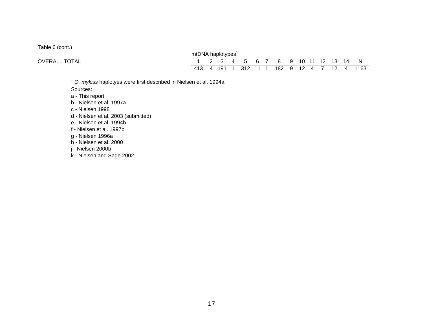Table 6 (cont.)

|                      | mtDNA haplotypes' |  |  |  |                                    |  |  |  |                                             |
|----------------------|-------------------|--|--|--|------------------------------------|--|--|--|---------------------------------------------|
| <b>OVERALL TOTAL</b> |                   |  |  |  | 1 2 3 4 5 6 7 8 9 10 11 12 13 14 N |  |  |  |                                             |
|                      |                   |  |  |  |                                    |  |  |  | 413 4 191 1 312 11 1 182 9 12 4 7 12 4 1163 |

 $1$  O. mykiss haplotyes were first described in Nielsen et al. 1994a

Sources:

a - This report

b - Nielsen et al. 1997a

c - Nielsen 1998

d - Nielsen et al. 2003 (submitted)

e - Nielsen et al. 1994b

f - Nielsen et al. 1997b

g - Nielsen 1996a

h - Nielsen et al. 2000

j - Nielsen 2000b

k - Nielsen and Sage 2002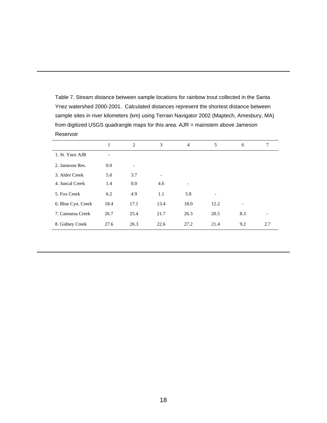Table 7. Stream distance between sample locations for rainbow trout collected in the Santa Ynez watershed 2000-2001. Calculated distances represent the shortest distance between sample sites in river kilometers (km) using Terrain Navigator 2002 (Maptech, Amesbury, MA) from digitized USGS quadrangle maps for this area. AJR = mainstem above Jameson Reservoir

|                    | 1    | 2    | 3                        | $\overline{4}$               | 5                        | 6   | 7   |
|--------------------|------|------|--------------------------|------------------------------|--------------------------|-----|-----|
| 1. St. Ynez AJR    |      |      |                          |                              |                          |     |     |
| 2. Jameson Res.    | 0.0  | ۰    |                          |                              |                          |     |     |
| 3. Alder Creek     | 5.0  | 3.7  | $\overline{\phantom{0}}$ |                              |                          |     |     |
| 4. Juncal Creek    | 1.4  | 0.0  | 4.6                      | $\qquad \qquad \blacksquare$ |                          |     |     |
| 5. Fox Creek       | 6.2  | 4.9  | 1.1                      | 5.8                          | $\overline{\phantom{a}}$ |     |     |
| 6. Blue Cyn. Creek | 18.4 | 17.1 | 13.4                     | 18.0                         | 12.2                     | -   |     |
| 7. Camuesa Creek   | 26.7 | 25.4 | 21.7                     | 26.3                         | 20.5                     | 8.3 |     |
| 8. Gidney Creek    | 27.6 | 26.3 | 22.6                     | 27.2                         | 21.4                     | 9.2 | 2.7 |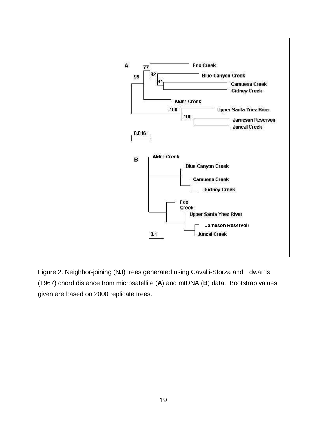

Figure 2. Neighbor-joining (NJ) trees generated using Cavalli-Sforza and Edwards (1967) chord distance from microsatellite (**A**) and mtDNA (**B**) data. Bootstrap values given are based on 2000 replicate trees.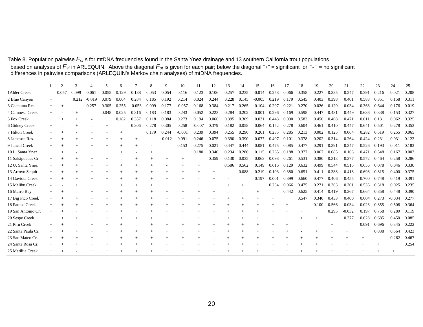Table 8. Population pairwise  $F_{st}$ s for mtDNA frequencies found in the Santa Ynez drainage and 13 southern California trout populations based on analyses of  $F_{st}$  in ARLEQUIN. Above the diagonal  $F_{st}$  is given for each pair; below the diagonal "+" = significant or "- " = no significant differences in pairwise comparisons (ARLEQUIN's Markov chain analyse

|                    | 2     |       |          |       |       |          | 8     | Q        | 10       | 11       | 12    | 13    | 14    | 15       | 16    | 17    | 18    | 19       | 20    | 21       | 22       | 23    | 24       | 25    |
|--------------------|-------|-------|----------|-------|-------|----------|-------|----------|----------|----------|-------|-------|-------|----------|-------|-------|-------|----------|-------|----------|----------|-------|----------|-------|
| 1 Alder Creek      | 0.057 | 0.099 | 0.061    | 0.055 | 0.129 | 0.188    | 0.053 | 0.054    | 0.116    | 0.123    | 0.106 | 0.257 | 0.235 | $-0.014$ | 0.258 | 0.066 | 0.358 | 0.227    | 0.335 | 0.247    | 0.391    | 0.216 | 0.021    | 0.208 |
| 2 Blue Canyon      |       | 0.212 | $-0.019$ | 0.079 | 0.004 | 0.284    | 0.185 | 0.192    | 0.214    | 0.024    | 0.244 | 0.228 | 0.145 | $-0.005$ | 0.219 | 0.179 | 0.545 | 0.403    | 0.398 | 0.401    | 0.583    | 0.351 | 0.158    | 0.311 |
| 3 Cachuma Res.     |       |       | 0.257    | 0.305 | 0.255 | $-0.053$ | 0.099 | 0.177    | $-0.057$ | 0.168    | 0.384 | 0.217 | 0.265 | 0.104    | 0.207 | 0.221 | 0.270 | $-0.026$ | 0.129 | 0.034    | 0.368    | 0.644 | 0.176    | 0.019 |
| 4 Camuesa Creek    |       |       |          | 0.048 | 0.025 | 0.316    | 0.183 | 0.183    | 0.243    | 0.052    | 0.223 | 0.284 | 0.202 | $-0.001$ | 0.296 | 0.169 | 0.598 | 0.447    | 0.431 | 0.449    | 0.636    | 0.338 | 0.153    | 0.327 |
| 5 Fox Creek        |       |       |          |       | 0.182 | 0.357    | 0.118 | 0.084    | 0.273    | 0.194    | 0.066 | 0.395 | 0.369 | 0.031    | 0.443 | 0.090 | 0.583 | 0.456    | 0.468 | 0.471    | 0.611    | 0.131 | 0.062    | 0.325 |
| 6 Gidney Creek     |       |       |          |       |       | 0.306    | 0.278 | 0.305    | 0.258    | $-0.007$ | 0.379 | 0.182 | 0.058 | 0.064    | 0.152 | 0.278 | 0.604 | 0.461    | 0.410 | 0.447    | 0.641    | 0.501 | 0.278    | 0.353 |
| 7 Hilton Creek     |       |       |          |       |       |          | 0.179 | 0.244    | $-0.001$ | 0.239    | 0.394 | 0.255 | 0.290 | 0.201    | 0.235 | 0.285 | 0.213 | 0.002    | 0.125 | 0.064    | 0.282    | 0.519 | 0.255    | 0.065 |
| 8 Jameson Res.     |       |       |          |       |       |          |       | $-0.012$ | 0.091    | 0.246    | 0.075 | 0.390 | 0.390 | 0.077    | 0.407 | 0.101 | 0.378 | 0.202    | 0.314 | 0.264    | 0.424    | 0.231 | 0.031    | 0.122 |
| 9 Juncal Creek     |       |       |          |       |       |          |       |          | 0.153    | 0.275    | 0.021 | 0.447 | 0.444 | 0.081    | 0.475 | 0.085 | 0.477 | 0.291    | 0.391 | 0.347    | 0.526    | 0.193 | 0.011    | 0.182 |
| 10 L. Santa Ynez   |       |       |          |       |       |          |       |          |          | 0.180    | 0.340 | 0.234 | 0.280 | 0.115    | 0.265 | 0.188 | 0.377 | 0.067    | 0.085 | 0.163    | 0.471    | 0.548 | 0.167    | 0.003 |
| 11 Salsipuedes Cr. |       |       |          |       |       |          |       |          | $+$      |          | 0.359 | 0.130 | 0.035 | 0.063    | 0.098 | 0.261 | 0.531 | 0.380    | 0.313 | 0.377    | 0.572    | 0.464 | 0.258    | 0.286 |
| 12 U. Santa Ynez   |       |       |          |       |       |          |       |          |          |          |       | 0.586 | 0.562 | 0.149    | 0.616 | 0.129 | 0.632 | 0.499    | 0.544 | 0.515    | 0.656    | 0.078 | 0.046    | 0.330 |
| 13 Arroyo Sequit   |       |       |          |       |       |          |       |          |          |          |       |       | 0.088 | 0.219    | 0.103 | 0.380 | 0.651 | 0.411    | 0.388 | 0.418    | 0.698    | 0.815 | 0.400    | 0.375 |
| 14 Gaviota Creek   |       |       |          |       |       |          |       |          |          |          |       |       |       | 0.197    | 0.001 | 0.399 | 0.660 | 0.477    | 0.406 | 0.455    | 0.700    | 0.748 | 0.419    | 0.391 |
| 15 Malibu Creek    |       |       |          |       |       |          |       |          |          |          |       |       |       |          | 0.234 | 0.066 | 0.475 | 0.271    | 0.363 | 0.301    | 0.536    | 0.318 | 0.025    | 0.235 |
| 16 Marro Bay       |       |       |          |       |       |          |       |          |          |          |       |       |       |          |       | 0.442 | 0.625 | 0.414    | 0.419 | 0.367    | 0.664    | 0.858 | 0.448    | 0.390 |
| 17 Big Pico Creek  |       |       |          |       |       |          |       |          |          |          |       |       |       |          |       |       | 0.547 | 0.340    | 0.433 | 0.400    | 0.604    | 0.273 | $-0.034$ | 0.277 |
| 18 Pauma Creek     |       |       |          |       |       |          |       |          |          |          |       |       |       |          |       |       |       | 0.100    | 0.566 | 0.034    | $-0.023$ | 0.855 | 0.508    | 0.364 |
| 19 San Antonio Cr. |       |       |          |       |       |          |       |          |          |          |       |       |       |          |       |       |       |          | 0.295 | $-0.032$ | 0.197    | 0.758 | 0.289    | 0.119 |
| 20 Sespe Creek     |       |       |          |       |       |          |       |          |          |          |       |       |       |          |       |       |       |          |       | 0.377    | 0.628    | 0.685 | 0.450    | 0.085 |
| 21 Piru Creek      |       |       |          |       |       |          |       |          |          |          |       |       |       |          |       |       |       |          |       |          | 0.091    | 0.696 | 0.345    | 0.222 |
| 22 Santa Paula Cr. |       |       |          |       |       |          |       |          | $^{+}$   |          |       |       |       |          |       |       |       |          |       | $^{+}$   |          | 0.838 | 0.564    | 0.423 |
| 23 San Mateo Cr.   |       |       |          |       |       |          |       |          |          |          |       |       |       |          |       |       |       |          |       |          |          |       | 0.262    | 0.467 |
| 24 Santa Rosa Cr.  |       |       |          |       |       |          |       |          |          |          |       |       |       |          |       |       |       |          |       |          |          |       |          | 0.254 |
| 25 Matilija Creek  |       |       |          |       |       |          |       |          |          |          |       |       |       |          |       |       |       |          |       |          |          |       |          |       |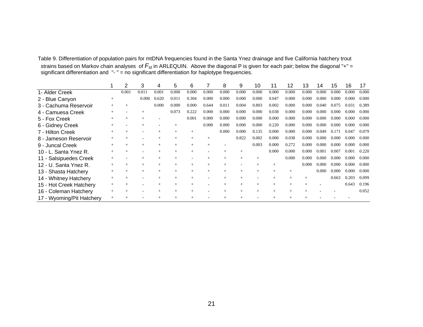| Table 9. Differentiation of population pairs for mtDNA frequencies found in the Santa Ynez drainage and five California hatchery trout |
|----------------------------------------------------------------------------------------------------------------------------------------|
| strains based on Markov chain analyses of $F_{st}$ in ARLEQUIN. Above the diagonal P is given for each pair; below the diagonal "+" =  |
| significant differentiation and $" - " = no$ significant differentiation for haplotype frequencies.                                    |

|                           |        | 2     | 3     | 4     | 5     | 6     |       | 8     | 9     | 10    | 11    | 12    | 13    | 14    | 15    | 16    | 17    |
|---------------------------|--------|-------|-------|-------|-------|-------|-------|-------|-------|-------|-------|-------|-------|-------|-------|-------|-------|
| 1- Alder Creek            |        | 0.001 | 0.011 | 0.001 | 0.000 | 0.000 | 0.000 | 0.000 | 0.000 | 0.000 | 0.000 | 0.000 | 0.000 | 0.000 | 0.000 | 0.000 | 0.000 |
| 2 - Blue Canyon           | $^{+}$ |       | 0.000 | 0.620 | 0.011 | 0.304 | 0.000 | 0.000 | 0.000 | 0.000 | 0.047 | 0.000 | 0.000 | 0.000 | 0.000 | 0.000 | 0.000 |
| 3 - Cachuma Reservoir     |        |       |       | 0.000 | 0.000 | 0.000 | 0.644 | 0.011 | 0.004 | 0.803 | 0.002 | 0.000 | 0.000 | 0.040 | 0.075 | 0.031 | 0.389 |
| 4 - Camuesa Creek         |        |       |       |       | 0.073 | 0.222 | 0.000 | 0.000 | 0.000 | 0.000 | 0.038 | 0.000 | 0.000 | 0.000 | 0.000 | 0.000 | 0.000 |
| 5 - Fox Creek             |        |       |       |       |       | 0.001 | 0.000 | 0.000 | 0.000 | 0.000 | 0.000 | 0.000 | 0.000 | 0.000 | 0.000 | 0.000 | 0.000 |
| 6 - Gidney Creek          |        |       |       |       |       |       | 0.000 | 0.000 | 0.000 | 0.000 | 0.220 | 0.000 | 0.000 | 0.000 | 0.000 | 0.000 | 0.000 |
| 7 - Hilton Creek          |        |       |       |       |       |       |       | 0.000 | 0.000 | 0.135 | 0.000 | 0.000 | 0.000 | 0.049 | 0.171 | 0.047 | 0.079 |
| 8 - Jameson Reservoir     |        |       |       |       |       |       | $+$   |       | 0.822 | 0.002 | 0.000 | 0.038 | 0.000 | 0.000 | 0.000 | 0.000 | 0.000 |
| 9 - Juncal Creek          |        |       |       |       |       |       |       |       |       | 0.003 | 0.000 | 0.272 | 0.000 | 0.000 | 0.000 | 0.000 | 0.000 |
| 10 - L. Santa Ynez R.     |        |       |       |       |       |       |       |       |       |       | 0.000 | 0.000 | 0.000 | 0.001 | 0.007 | 0.001 | 0.220 |
| 11 - Salsipuedes Creek    |        |       |       |       |       |       |       |       |       |       |       | 0.000 | 0.000 | 0.000 | 0.000 | 0.000 | 0.000 |
| 12 - U. Santa Ynez R.     | $^{+}$ |       |       |       |       |       | $+$   |       |       |       |       |       | 0.000 | 0.000 | 0.000 | 0.000 | 0.000 |
| 13 - Shasta Hatchery      |        |       |       |       | $+$   |       | $+$   |       |       |       |       |       |       | 0.000 | 0.000 | 0.000 | 0.000 |
| 14 - Whitney Hatchery     | $^{+}$ |       |       |       |       |       |       |       |       |       |       |       | $+$   |       | 0.663 | 0.203 | 0.099 |
| 15 - Hot Creek Hatchery   |        |       |       |       |       |       |       |       |       |       |       |       | $+$   |       |       | 0.643 | 0.196 |
| 16 - Coleman Hatchery     |        |       |       |       |       |       |       |       |       |       |       |       |       |       |       |       | 0.052 |
| 17 - Wyoming/Pit Hatchery |        |       |       |       |       |       |       |       |       |       |       |       |       |       |       |       |       |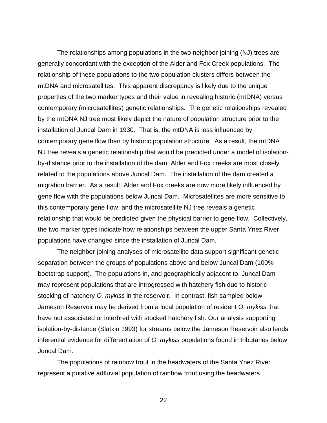The relationships among populations in the two neighbor-joining (NJ) trees are generally concordant with the exception of the Alder and Fox Creek populations. The relationship of these populations to the two population clusters differs between the mtDNA and microsatellites. This apparent discrepancy is likely due to the unique properties of the two marker types and their value in revealing historic (mtDNA) versus contemporary (microsatellites) genetic relationships. The genetic relationships revealed by the mtDNA NJ tree most likely depict the nature of population structure prior to the installation of Juncal Dam in 1930. That is, the mtDNA is less influenced by contemporary gene flow than by historic population structure. As a result, the mtDNA NJ tree reveals a genetic relationship that would be predicted under a model of isolationby-distance prior to the installation of the dam; Alder and Fox creeks are most closely related to the populations above Juncal Dam. The installation of the dam created a migration barrier. As a result, Alder and Fox creeks are now more likely influenced by gene flow with the populations below Juncal Dam. Microsatellites are more sensitive to this contemporary gene flow, and the microsatellite NJ tree reveals a genetic relationship that would be predicted given the physical barrier to gene flow. Collectively, the two marker types indicate how relationships between the upper Santa Ynez River populations have changed since the installation of Juncal Dam.

The neighbor-joining analyses of microsatellite data support significant genetic separation between the groups of populations above and below Juncal Dam (100% bootstrap support). The populations in, and geographically adjacent to, Juncal Dam may represent populations that are introgressed with hatchery fish due to historic stocking of hatchery O. mykiss in the reservoir. In contrast, fish sampled below Jameson Reservoir may be derived from a local population of resident O. mykiss that have not associated or interbred with stocked hatchery fish. Our analysis supporting isolation-by-distance (Slatkin 1993) for streams below the Jameson Reservoir also lends inferential evidence for differentiation of O. mykiss populations found in tributaries below Juncal Dam.

The populations of rainbow trout in the headwaters of the Santa Ynez River represent a putative adfluvial population of rainbow trout using the headwaters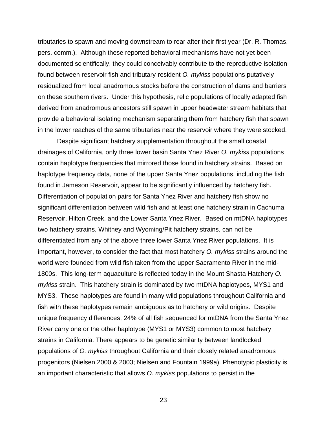tributaries to spawn and moving downstream to rear after their first year (Dr. R. Thomas, pers. comm.). Although these reported behavioral mechanisms have not yet been documented scientifically, they could conceivably contribute to the reproductive isolation found between reservoir fish and tributary-resident O. mykiss populations putatively residualized from local anadromous stocks before the construction of dams and barriers on these southern rivers. Under this hypothesis, relic populations of locally adapted fish derived from anadromous ancestors still spawn in upper headwater stream habitats that provide a behavioral isolating mechanism separating them from hatchery fish that spawn in the lower reaches of the same tributaries near the reservoir where they were stocked.

Despite significant hatchery supplementation throughout the small coastal drainages of California, only three lower basin Santa Ynez River O. mykiss populations contain haplotype frequencies that mirrored those found in hatchery strains. Based on haplotype frequency data, none of the upper Santa Ynez populations, including the fish found in Jameson Reservoir, appear to be significantly influenced by hatchery fish. Differentiation of population pairs for Santa Ynez River and hatchery fish show no significant differentiation between wild fish and at least one hatchery strain in Cachuma Reservoir, Hilton Creek, and the Lower Santa Ynez River. Based on mtDNA haplotypes two hatchery strains, Whitney and Wyoming/Pit hatchery strains, can not be differentiated from any of the above three lower Santa Ynez River populations. It is important, however, to consider the fact that most hatchery O. mykiss strains around the world were founded from wild fish taken from the upper Sacramento River in the mid-1800s. This long-term aquaculture is reflected today in the Mount Shasta Hatchery O. mykiss strain. This hatchery strain is dominated by two mtDNA haplotypes, MYS1 and MYS3. These haplotypes are found in many wild populations throughout California and fish with these haplotypes remain ambiguous as to hatchery or wild origins. Despite unique frequency differences, 24% of all fish sequenced for mtDNA from the Santa Ynez River carry one or the other haplotype (MYS1 or MYS3) common to most hatchery strains in California. There appears to be genetic similarity between landlocked populations of O. mykiss throughout California and their closely related anadromous progenitors (Nielsen 2000 & 2003; Nielsen and Fountain 1999a). Phenotypic plasticity is an important characteristic that allows O. mykiss populations to persist in the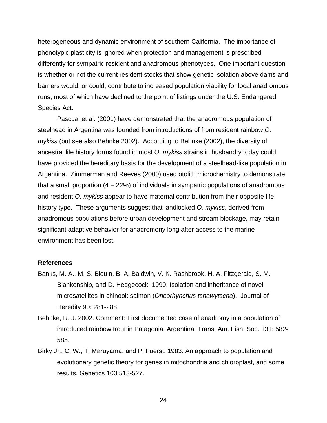heterogeneous and dynamic environment of southern California. The importance of phenotypic plasticity is ignored when protection and management is prescribed differently for sympatric resident and anadromous phenotypes. One important question is whether or not the current resident stocks that show genetic isolation above dams and barriers would, or could, contribute to increased population viability for local anadromous runs, most of which have declined to the point of listings under the U.S. Endangered Species Act.

Pascual et al. (2001) have demonstrated that the anadromous population of steelhead in Argentina was founded from introductions of from resident rainbow O. mykiss (but see also Behnke 2002). According to Behnke (2002), the diversity of ancestral life history forms found in most O. mykiss strains in husbandry today could have provided the hereditary basis for the development of a steelhead-like population in Argentina. Zimmerman and Reeves (2000) used otolith microchemistry to demonstrate that a small proportion  $(4 - 22%)$  of individuals in sympatric populations of anadromous and resident O. mykiss appear to have maternal contribution from their opposite life history type. These arguments suggest that landlocked O. mykiss, derived from anadromous populations before urban development and stream blockage, may retain significant adaptive behavior for anadromony long after access to the marine environment has been lost.

#### **References**

- Banks, M. A., M. S. Blouin, B. A. Baldwin, V. K. Rashbrook, H. A. Fitzgerald, S. M. Blankenship, and D. Hedgecock. 1999. Isolation and inheritance of novel microsatellites in chinook salmon (Oncorhynchus tshawytscha). Journal of Heredity 90: 281-288.
- Behnke, R. J. 2002. Comment: First documented case of anadromy in a population of introduced rainbow trout in Patagonia, Argentina. Trans. Am. Fish. Soc. 131: 582- 585.
- Birky Jr., C. W., T. Maruyama, and P. Fuerst. 1983. An approach to population and evolutionary genetic theory for genes in mitochondria and chloroplast, and some results. Genetics 103:513-527.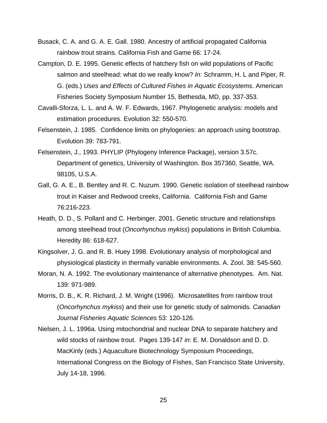- Busack, C. A. and G. A. E. Gall. 1980. Ancestry of artificial propagated California rainbow trout strains. California Fish and Game 66: 17-24.
- Campton, D. E. 1995. Genetic effects of hatchery fish on wild populations of Pacific salmon and steelhead: what do we really know? In: Schramm, H. L and Piper, R. G. (eds.) Uses and Effects of Cultured Fishes in Aquatic Ecosystems. American Fisheries Society Symposium Number 15, Bethesda, MD, pp. 337-353.
- Cavalli-Sforza, L. L. and A. W. F. Edwards, 1967. Phylogenetic analysis: models and estimation procedures. Evolution 32: 550-570.
- Felsenstein, J. 1985. Confidence limits on phylogenies: an approach using bootstrap. Evolution 39: 783-791.
- Felsenstein, J., 1993. PHYLIP (Phylogeny Inference Package), version 3.57c. Department of genetics, University of Washington. Box 357360, Seattle, WA. 98105, U.S.A.
- Gall, G. A. E., B. Bentley and R. C. Nuzum. 1990. Genetic isolation of steelhead rainbow trout in Kaiser and Redwood creeks, California. California Fish and Game 76:216-223.
- Heath, D. D., S. Pollard and C. Herbinger. 2001. Genetic structure and relationships among steelhead trout (Oncorhynchus mykiss) populations in British Columbia. Heredity 86: 618-627.
- Kingsolver, J. G. and R. B. Huey 1998. Evolutionary analysis of morphological and physiological plasticity in thermally variable environments. A. Zool. 38: 545-560.
- Moran, N. A. 1992. The evolutionary maintenance of alternative phenotypes. Am. Nat. 139: 971-989.
- Morris, D. B., K. R. Richard, J. M. Wright (1996). Microsatellites from rainbow trout (Oncorhynchus mykiss) and their use for genetic study of salmonids. Canadian Journal Fisheries Aquatic Sciences 53: 120-126.
- Nielsen, J. L. 1996a. Using mitochondrial and nuclear DNA to separate hatchery and wild stocks of rainbow trout. Pages 139-147 in: E. M. Donaldson and D. D. MacKinly (eds.) Aquaculture Biotechnology Symposium Proceedings, International Congress on the Biology of Fishes, San Francisco State University, July 14-18, 1996.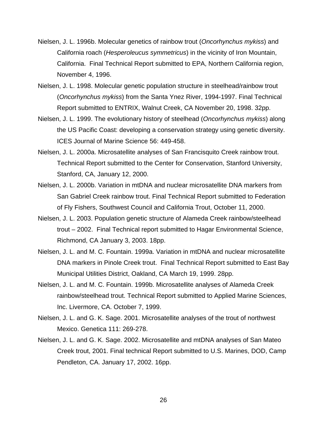- Nielsen, J. L. 1996b. Molecular genetics of rainbow trout (Oncorhynchus mykiss) and California roach (Hesperoleucus symmetricus) in the vicinity of Iron Mountain, California. Final Technical Report submitted to EPA, Northern California region, November 4, 1996.
- Nielsen, J. L. 1998. Molecular genetic population structure in steelhead/rainbow trout (Oncorhynchus mykiss) from the Santa Ynez River, 1994-1997. Final Technical Report submitted to ENTRIX, Walnut Creek, CA November 20, 1998. 32pp.
- Nielsen, J. L. 1999. The evolutionary history of steelhead (Oncorhynchus mykiss) along the US Pacific Coast: developing a conservation strategy using genetic diversity. ICES Journal of Marine Science 56: 449-458.
- Nielsen, J. L. 2000a. Microsatellite analyses of San Francisquito Creek rainbow trout. Technical Report submitted to the Center for Conservation, Stanford University, Stanford, CA, January 12, 2000.
- Nielsen, J. L. 2000b. Variation in mtDNA and nuclear microsatellite DNA markers from San Gabriel Creek rainbow trout. Final Technical Report submitted to Federation of Fly Fishers, Southwest Council and California Trout, October 11, 2000.
- Nielsen, J. L. 2003. Population genetic structure of Alameda Creek rainbow/steelhead trout – 2002. Final Technical report submitted to Hagar Environmental Science, Richmond, CA January 3, 2003. 18pp.
- Nielsen, J. L. and M. C. Fountain. 1999a. Variation in mtDNA and nuclear microsatellite DNA markers in Pinole Creek trout. Final Technical Report submitted to East Bay Municipal Utilities District, Oakland, CA March 19, 1999. 28pp.
- Nielsen, J. L. and M. C. Fountain. 1999b. Microsatellite analyses of Alameda Creek rainbow/steelhead trout. Technical Report submitted to Applied Marine Sciences, Inc. Livermore, CA. October 7, 1999.
- Nielsen, J. L. and G. K. Sage. 2001. Microsatellite analyses of the trout of northwest Mexico. Genetica 111: 269-278.
- Nielsen, J. L. and G. K. Sage. 2002. Microsatellite and mtDNA analyses of San Mateo Creek trout, 2001. Final technical Report submitted to U.S. Marines, DOD, Camp Pendleton, CA. January 17, 2002. 16pp.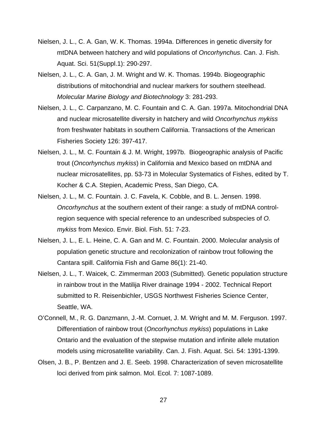- Nielsen, J. L., C. A. Gan, W. K. Thomas. 1994a. Differences in genetic diversity for mtDNA between hatchery and wild populations of Oncorhynchus. Can. J. Fish. Aquat. Sci. 51(Suppl.1): 290-297.
- Nielsen, J. L., C. A. Gan, J. M. Wright and W. K. Thomas. 1994b. Biogeographic distributions of mitochondrial and nuclear markers for southern steelhead. Molecular Marine Biology and Biotechnology 3: 281-293.
- Nielsen, J. L., C. Carpanzano, M. C. Fountain and C. A. Gan. 1997a. Mitochondrial DNA and nuclear microsatellite diversity in hatchery and wild Oncorhynchus mykiss from freshwater habitats in southern California. Transactions of the American Fisheries Society 126: 397-417.
- Nielsen, J. L., M. C. Fountain & J. M. Wright, 1997b. Biogeographic analysis of Pacific trout (Oncorhynchus mykiss) in California and Mexico based on mtDNA and nuclear microsatellites, pp. 53-73 in Molecular Systematics of Fishes, edited by T. Kocher & C.A. Stepien, Academic Press, San Diego, CA.
- Nielsen, J. L., M. C. Fountain. J. C. Favela, K. Cobble, and B. L. Jensen. 1998. Oncorhynchus at the southern extent of their range: a study of mtDNA controlregion sequence with special reference to an undescribed subspecies of O. mykiss from Mexico. Envir. Biol. Fish. 51: 7-23.
- Nielsen, J. L., E. L. Heine, C. A. Gan and M. C. Fountain. 2000. Molecular analysis of population genetic structure and recolonization of rainbow trout following the Cantara spill. California Fish and Game 86(1): 21-40.
- Nielsen, J. L., T. Waicek, C. Zimmerman 2003 (Submitted). Genetic population structure in rainbow trout in the Matilija River drainage 1994 - 2002. Technical Report submitted to R. Reisenbichler, USGS Northwest Fisheries Science Center, Seattle, WA.
- O'Connell, M., R. G. Danzmann, J.-M. Cornuet, J. M. Wright and M. M. Ferguson. 1997. Differentiation of rainbow trout (Oncorhynchus mykiss) populations in Lake Ontario and the evaluation of the stepwise mutation and infinite allele mutation models using microsatellite variability. Can. J. Fish. Aquat. Sci. 54: 1391-1399.
- Olsen, J. B., P. Bentzen and J. E. Seeb. 1998. Characterization of seven microsatellite loci derived from pink salmon. Mol. Ecol. 7: 1087-1089.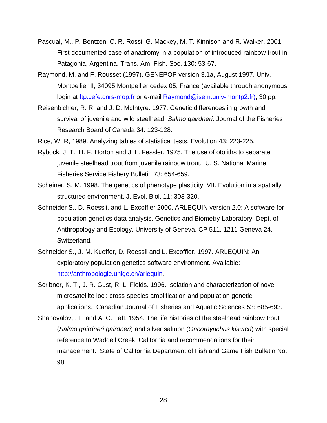- Pascual, M., P. Bentzen, C. R. Rossi, G. Mackey, M. T. Kinnison and R. Walker. 2001. First documented case of anadromy in a population of introduced rainbow trout in Patagonia, Argentina. Trans. Am. Fish. Soc. 130: 53-67.
- Raymond, M. and F. Rousset (1997). GENEPOP version 3.1a, August 1997. Univ. Montpellier II, 34095 Montpellier cedex 05, France (available through anonymous login at ftp.cefe.cnrs-mop.fr or e-mail Raymond@isem.univ-montp2.fr), 30 pp.
- Reisenbichler, R. R. and J. D. McIntyre. 1977. Genetic differences in growth and survival of juvenile and wild steelhead, Salmo gairdneri. Journal of the Fisheries Research Board of Canada 34: 123-128.
- Rice, W. R, 1989. Analyzing tables of statistical tests. Evolution 43: 223-225.
- Rybock, J. T., H. F. Horton and J. L. Fessler. 1975. The use of otoliths to separate juvenile steelhead trout from juvenile rainbow trout. U. S. National Marine Fisheries Service Fishery Bulletin 73: 654-659.
- Scheiner, S. M. 1998. The genetics of phenotype plasticity. VII. Evolution in a spatially structured environment. J. Evol. Biol. 11: 303-320.
- Schneider S., D. Roessli, and L. Excoffier 2000. ARLEQUIN version 2.0: A software for population genetics data analysis. Genetics and Biometry Laboratory, Dept. of Anthropology and Ecology, University of Geneva, CP 511, 1211 Geneva 24, Switzerland.
- Schneider S., J.-M. Kueffer, D. Roessli and L. Excoffier. 1997. ARLEQUIN: An exploratory population genetics software environment. Available: http://anthropologie.unige.ch/arlequin.
- Scribner, K. T., J. R. Gust, R. L. Fields. 1996. Isolation and characterization of novel microsatellite loci: cross-species amplification and population genetic applications. Canadian Journal of Fisheries and Aquatic Sciences 53: 685-693.
- Shapovalov, , L. and A. C. Taft. 1954. The life histories of the steelhead rainbow trout (Salmo gairdneri gairdneri) and silver salmon (Oncorhynchus kisutch) with special reference to Waddell Creek, California and recommendations for their management. State of California Department of Fish and Game Fish Bulletin No. 98.